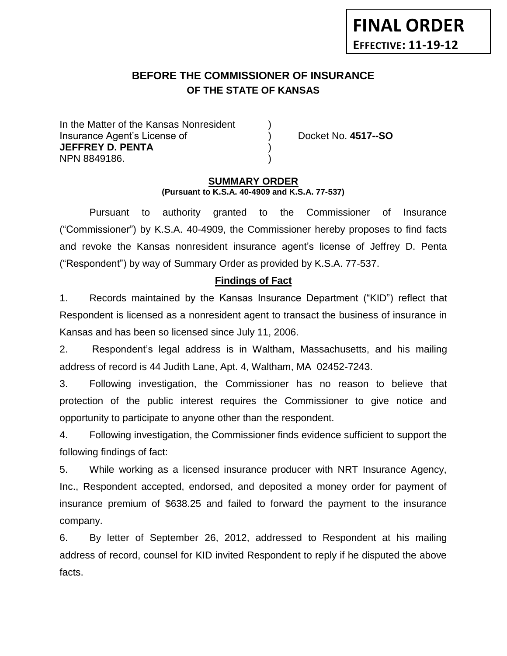# **FINAL ORDER EFFECTIVE: 11-19-12**

#### **BEFORE THE COMMISSIONER OF INSURANCE OF THE STATE OF KANSAS** *-12*

In the Matter of the Kansas Nonresident Insurance Agent's License of ) Docket No. **4517--SO JEFFREY D. PENTA** ) NPN 8849186. )

#### **SUMMARY ORDER (Pursuant to K.S.A. 40-4909 and K.S.A. 77-537)**

Pursuant to authority granted to the Commissioner of Insurance ("Commissioner") by K.S.A. 40-4909, the Commissioner hereby proposes to find facts and revoke the Kansas nonresident insurance agent's license of Jeffrey D. Penta ("Respondent") by way of Summary Order as provided by K.S.A. 77-537.

## **Findings of Fact**

1. Records maintained by the Kansas Insurance Department ("KID") reflect that Respondent is licensed as a nonresident agent to transact the business of insurance in Kansas and has been so licensed since July 11, 2006.

2. Respondent's legal address is in Waltham, Massachusetts, and his mailing address of record is 44 Judith Lane, Apt. 4, Waltham, MA 02452-7243.

3. Following investigation, the Commissioner has no reason to believe that protection of the public interest requires the Commissioner to give notice and opportunity to participate to anyone other than the respondent.

4. Following investigation, the Commissioner finds evidence sufficient to support the following findings of fact:

5. While working as a licensed insurance producer with NRT Insurance Agency, Inc., Respondent accepted, endorsed, and deposited a money order for payment of insurance premium of \$638.25 and failed to forward the payment to the insurance company.

6. By letter of September 26, 2012, addressed to Respondent at his mailing address of record, counsel for KID invited Respondent to reply if he disputed the above facts.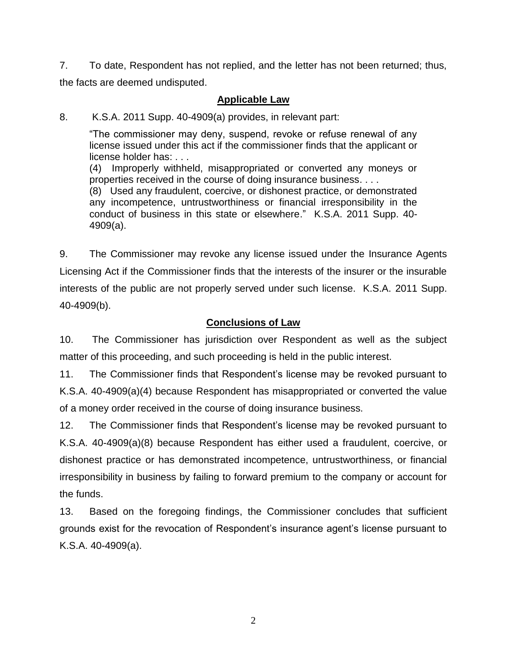7. To date, Respondent has not replied, and the letter has not been returned; thus, the facts are deemed undisputed.

# **Applicable Law**

8. K.S.A. 2011 Supp. 40-4909(a) provides, in relevant part:

"The commissioner may deny, suspend, revoke or refuse renewal of any license issued under this act if the commissioner finds that the applicant or license holder has: . . .

(4) Improperly withheld, misappropriated or converted any moneys or properties received in the course of doing insurance business. . . .

(8) Used any fraudulent, coercive, or dishonest practice, or demonstrated any incompetence, untrustworthiness or financial irresponsibility in the conduct of business in this state or elsewhere." K.S.A. 2011 Supp. 40- 4909(a).

9. The Commissioner may revoke any license issued under the Insurance Agents Licensing Act if the Commissioner finds that the interests of the insurer or the insurable interests of the public are not properly served under such license. K.S.A. 2011 Supp. 40-4909(b).

# **Conclusions of Law**

10. The Commissioner has jurisdiction over Respondent as well as the subject matter of this proceeding, and such proceeding is held in the public interest.

11. The Commissioner finds that Respondent's license may be revoked pursuant to K.S.A. 40-4909(a)(4) because Respondent has misappropriated or converted the value of a money order received in the course of doing insurance business.

12. The Commissioner finds that Respondent's license may be revoked pursuant to K.S.A. 40-4909(a)(8) because Respondent has either used a fraudulent, coercive, or dishonest practice or has demonstrated incompetence, untrustworthiness, or financial irresponsibility in business by failing to forward premium to the company or account for the funds.

13. Based on the foregoing findings, the Commissioner concludes that sufficient grounds exist for the revocation of Respondent's insurance agent's license pursuant to K.S.A. 40-4909(a).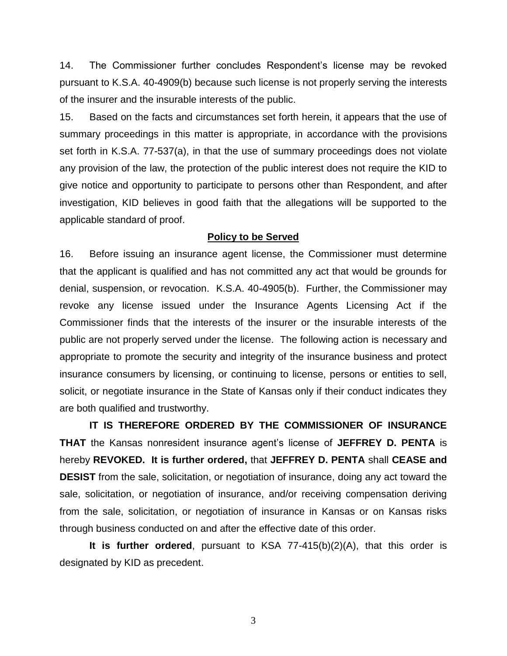14. The Commissioner further concludes Respondent's license may be revoked pursuant to K.S.A. 40-4909(b) because such license is not properly serving the interests of the insurer and the insurable interests of the public.

15. Based on the facts and circumstances set forth herein, it appears that the use of summary proceedings in this matter is appropriate, in accordance with the provisions set forth in K.S.A. 77-537(a), in that the use of summary proceedings does not violate any provision of the law, the protection of the public interest does not require the KID to give notice and opportunity to participate to persons other than Respondent, and after investigation, KID believes in good faith that the allegations will be supported to the applicable standard of proof.

#### **Policy to be Served**

16. Before issuing an insurance agent license, the Commissioner must determine that the applicant is qualified and has not committed any act that would be grounds for denial, suspension, or revocation. K.S.A. 40-4905(b). Further, the Commissioner may revoke any license issued under the Insurance Agents Licensing Act if the Commissioner finds that the interests of the insurer or the insurable interests of the public are not properly served under the license. The following action is necessary and appropriate to promote the security and integrity of the insurance business and protect insurance consumers by licensing, or continuing to license, persons or entities to sell, solicit, or negotiate insurance in the State of Kansas only if their conduct indicates they are both qualified and trustworthy.

**IT IS THEREFORE ORDERED BY THE COMMISSIONER OF INSURANCE THAT** the Kansas nonresident insurance agent's license of **JEFFREY D. PENTA** is hereby **REVOKED. It is further ordered,** that **JEFFREY D. PENTA** shall **CEASE and DESIST** from the sale, solicitation, or negotiation of insurance, doing any act toward the sale, solicitation, or negotiation of insurance, and/or receiving compensation deriving from the sale, solicitation, or negotiation of insurance in Kansas or on Kansas risks through business conducted on and after the effective date of this order.

**It is further ordered**, pursuant to KSA 77-415(b)(2)(A), that this order is designated by KID as precedent.

3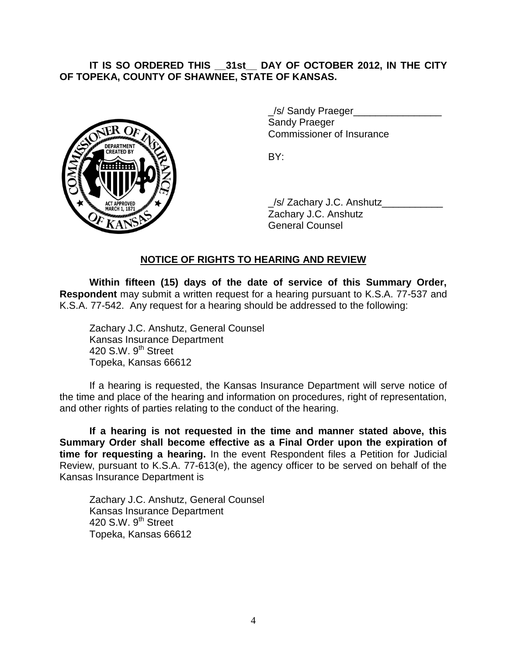## **IT IS SO ORDERED THIS \_\_31st\_\_ DAY OF OCTOBER 2012, IN THE CITY OF TOPEKA, COUNTY OF SHAWNEE, STATE OF KANSAS.**



/s/ Sandy Praeger Sandy Praeger Commissioner of Insurance

BY:

\_/s/ Zachary J.C. Anshutz\_\_\_\_\_\_\_\_\_\_\_ Zachary J.C. Anshutz General Counsel

### **NOTICE OF RIGHTS TO HEARING AND REVIEW**

**Within fifteen (15) days of the date of service of this Summary Order, Respondent** may submit a written request for a hearing pursuant to K.S.A. 77-537 and K.S.A. 77-542. Any request for a hearing should be addressed to the following:

Zachary J.C. Anshutz, General Counsel Kansas Insurance Department 420 S.W. 9<sup>th</sup> Street Topeka, Kansas 66612

If a hearing is requested, the Kansas Insurance Department will serve notice of the time and place of the hearing and information on procedures, right of representation, and other rights of parties relating to the conduct of the hearing.

**If a hearing is not requested in the time and manner stated above, this Summary Order shall become effective as a Final Order upon the expiration of time for requesting a hearing.** In the event Respondent files a Petition for Judicial Review, pursuant to K.S.A. 77-613(e), the agency officer to be served on behalf of the Kansas Insurance Department is

Zachary J.C. Anshutz, General Counsel Kansas Insurance Department 420 S.W.  $9^{th}$  Street Topeka, Kansas 66612